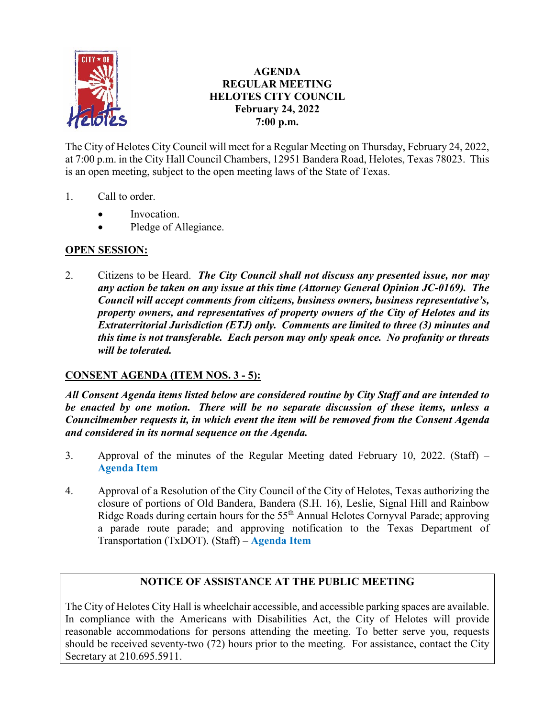

# **AGENDA REGULAR MEETING HELOTES CITY COUNCIL February 24, 2022 7:00 p.m.**

The City of Helotes City Council will meet for a Regular Meeting on Thursday, February 24, 2022, at 7:00 p.m. in the City Hall Council Chambers, 12951 Bandera Road, Helotes, Texas 78023. This is an open meeting, subject to the open meeting laws of the State of Texas.

- 1. Call to order.
	- Invocation.
	- Pledge of Allegiance.

# **OPEN SESSION:**

2. Citizens to be Heard. *The City Council shall not discuss any presented issue, nor may any action be taken on any issue at this time (Attorney General Opinion JC-0169). The Council will accept comments from citizens, business owners, business representative's, property owners, and representatives of property owners of the City of Helotes and its Extraterritorial Jurisdiction (ETJ) only. Comments are limited to three (3) minutes and this time is not transferable. Each person may only speak once. No profanity or threats will be tolerated.*

# **CONSENT AGENDA (ITEM NOS. 3 - 5):**

*All Consent Agenda items listed below are considered routine by City Staff and are intended to be enacted by one motion. There will be no separate discussion of these items, unless a Councilmember requests it, in which event the item will be removed from the Consent Agenda and considered in its normal sequence on the Agenda.*

- 3. Approval of the minutes of the Regular Meeting dated February 10, 2022. (Staff) **[Agenda Item](https://helotes-tx.gov/wp-content/uploads/2022/02/3-Minutes.pdf)**
- 4. Approval of a Resolution of the City Council of the City of Helotes, Texas authorizing the closure of portions of Old Bandera, Bandera (S.H. 16), Leslie, Signal Hill and Rainbow Ridge Roads during certain hours for the 55<sup>th</sup> Annual Helotes Cornyval Parade; approving a parade route parade; and approving notification to the Texas Department of Transportation (TxDOT). (Staff) – **[Agenda Item](https://helotes-tx.gov/wp-content/uploads/2022/02/4-Cornyval.pdf)**

# **NOTICE OF ASSISTANCE AT THE PUBLIC MEETING**

The City of Helotes City Hall is wheelchair accessible, and accessible parking spaces are available. In compliance with the Americans with Disabilities Act, the City of Helotes will provide reasonable accommodations for persons attending the meeting. To better serve you, requests should be received seventy-two (72) hours prior to the meeting. For assistance, contact the City Secretary at 210.695.5911.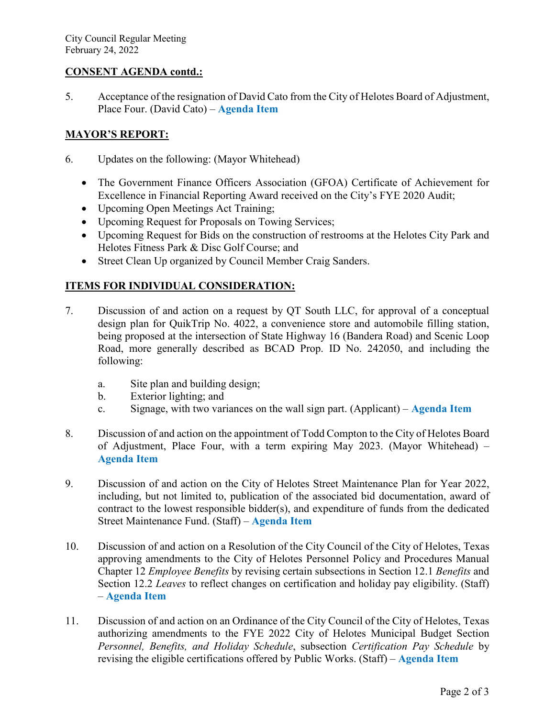### **CONSENT AGENDA contd.:**

5. Acceptance of the resignation of David Cato from the City of Helotes Board of Adjustment, Place Four. (David Cato) – **[Agenda Item](https://helotes-tx.gov/wp-content/uploads/2022/02/5-David-Cato.pdf)**

# **MAYOR'S REPORT:**

- 6. Updates on the following: (Mayor Whitehead)
	- The Government Finance Officers Association (GFOA) Certificate of Achievement for Excellence in Financial Reporting Award received on the City's FYE 2020 Audit;
	- Upcoming Open Meetings Act Training;
	- Upcoming Request for Proposals on Towing Services;
	- Upcoming Request for Bids on the construction of restrooms at the Helotes City Park and Helotes Fitness Park & Disc Golf Course; and
	- Street Clean Up organized by Council Member Craig Sanders.

### **ITEMS FOR INDIVIDUAL CONSIDERATION:**

- 7. Discussion of and action on a request by QT South LLC, for approval of a conceptual design plan for QuikTrip No. 4022, a convenience store and automobile filling station, being proposed at the intersection of State Highway 16 (Bandera Road) and Scenic Loop Road, more generally described as BCAD Prop. ID No. 242050, and including the following:
	- a. Site plan and building design;
	- b. Exterior lighting; and
	- c. Signage, with two variances on the wall sign part. (Applicant) **[Agenda Item](https://helotes-tx.gov/wp-content/uploads/2022/02/7-QuikTrip.pdf)**
- 8. Discussion of and action on the appointment of Todd Compton to the City of Helotes Board of Adjustment, Place Four, with a term expiring May 2023. (Mayor Whitehead) – **[Agenda Item](https://helotes-tx.gov/wp-content/uploads/2022/02/8-Todd-Compton.pdf)**
- 9. Discussion of and action on the City of Helotes Street Maintenance Plan for Year 2022, including, but not limited to, publication of the associated bid documentation, award of contract to the lowest responsible bidder(s), and expenditure of funds from the dedicated Street Maintenance Fund. (Staff) – **[Agenda Item](https://helotes-tx.gov/wp-content/uploads/2022/02/9-SMP-2022.pdf)**
- 10. Discussion of and action on a Resolution of the City Council of the City of Helotes, Texas approving amendments to the City of Helotes Personnel Policy and Procedures Manual Chapter 12 *Employee Benefits* by revising certain subsections in Section 12.1 *Benefits* and Section 12.2 *Leaves* to reflect changes on certification and holiday pay eligibility. (Staff) – **[Agenda Item](https://helotes-tx.gov/wp-content/uploads/2022/02/10-Policy.pdf)**
- 11. Discussion of and action on an Ordinance of the City Council of the City of Helotes, Texas authorizing amendments to the FYE 2022 City of Helotes Municipal Budget Section *Personnel, Benefits, and Holiday Schedule*, subsection *Certification Pay Schedule* by revising the eligible certifications offered by Public Works. (Staff) – **[Agenda Item](https://helotes-tx.gov/wp-content/uploads/2022/02/11-Certification-Pay-Budget.pdf)**